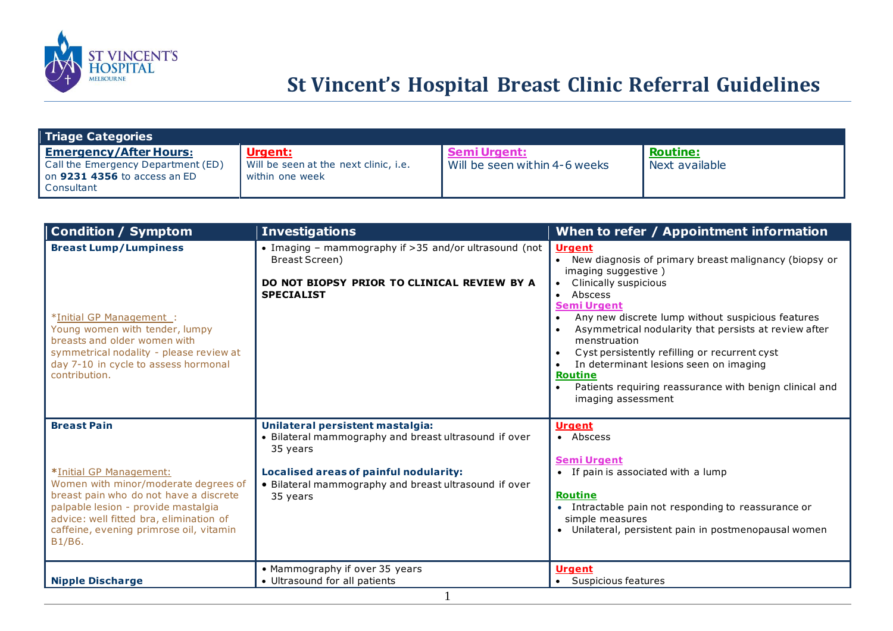

# **St Vincent's Hospital Breast Clinic Referral Guidelines**

| Triage Categories                                                                                                 |                                                                     |                                                      |                                   |
|-------------------------------------------------------------------------------------------------------------------|---------------------------------------------------------------------|------------------------------------------------------|-----------------------------------|
| <b>Emergency/After Hours:</b><br>Call the Emergency Department (ED)<br>on 9231 4356 to access an ED<br>Consultant | Urgent:<br>Will be seen at the next clinic, i.e.<br>within one week | <b>Semi Urgent:</b><br>Will be seen within 4-6 weeks | <b>Routine:</b><br>Next available |

| <b>Condition / Symptom</b>                                                                                                                                                                                                                                             | <b>Investigations</b>                                                                                                                                                                                                | When to refer / Appointment information                                                                                                                                                                                                                                                                                                                                                                                                                                                                                    |
|------------------------------------------------------------------------------------------------------------------------------------------------------------------------------------------------------------------------------------------------------------------------|----------------------------------------------------------------------------------------------------------------------------------------------------------------------------------------------------------------------|----------------------------------------------------------------------------------------------------------------------------------------------------------------------------------------------------------------------------------------------------------------------------------------------------------------------------------------------------------------------------------------------------------------------------------------------------------------------------------------------------------------------------|
| <b>Breast Lump/Lumpiness</b><br>*Initial GP Management :<br>Young women with tender, lumpy<br>breasts and older women with<br>symmetrical nodality - please review at<br>day 7-10 in cycle to assess hormonal<br>contribution.                                         | • Imaging - mammography if >35 and/or ultrasound (not<br>Breast Screen)<br>DO NOT BIOPSY PRIOR TO CLINICAL REVIEW BY A<br><b>SPECIALIST</b>                                                                          | <b>Urgent</b><br>New diagnosis of primary breast malignancy (biopsy or<br>$\bullet$<br>imaging suggestive)<br>Clinically suspicious<br>Abscess<br>$\bullet$<br><b>Semi Urgent</b><br>Any new discrete lump without suspicious features<br>Asymmetrical nodularity that persists at review after<br>menstruation<br>Cyst persistently refilling or recurrent cyst<br>In determinant lesions seen on imaging<br><b>Routine</b><br>Patients requiring reassurance with benign clinical and<br>$\bullet$<br>imaging assessment |
| <b>Breast Pain</b><br>*Initial GP Management:<br>Women with minor/moderate degrees of<br>breast pain who do not have a discrete<br>palpable lesion - provide mastalgia<br>advice: well fitted bra, elimination of<br>caffeine, evening primrose oil, vitamin<br>B1/B6. | Unilateral persistent mastalgia:<br>• Bilateral mammography and breast ultrasound if over<br>35 years<br>Localised areas of painful nodularity:<br>• Bilateral mammography and breast ultrasound if over<br>35 years | <b>Urgent</b><br>• Abscess<br><b>Semi Urgent</b><br>• If pain is associated with a lump<br><b>Routine</b><br>Intractable pain not responding to reassurance or<br>$\bullet$<br>simple measures<br>• Unilateral, persistent pain in postmenopausal women                                                                                                                                                                                                                                                                    |
| <b>Nipple Discharge</b>                                                                                                                                                                                                                                                | • Mammography if over 35 years<br>• Ultrasound for all patients                                                                                                                                                      | <b>Urgent</b><br>• Suspicious features                                                                                                                                                                                                                                                                                                                                                                                                                                                                                     |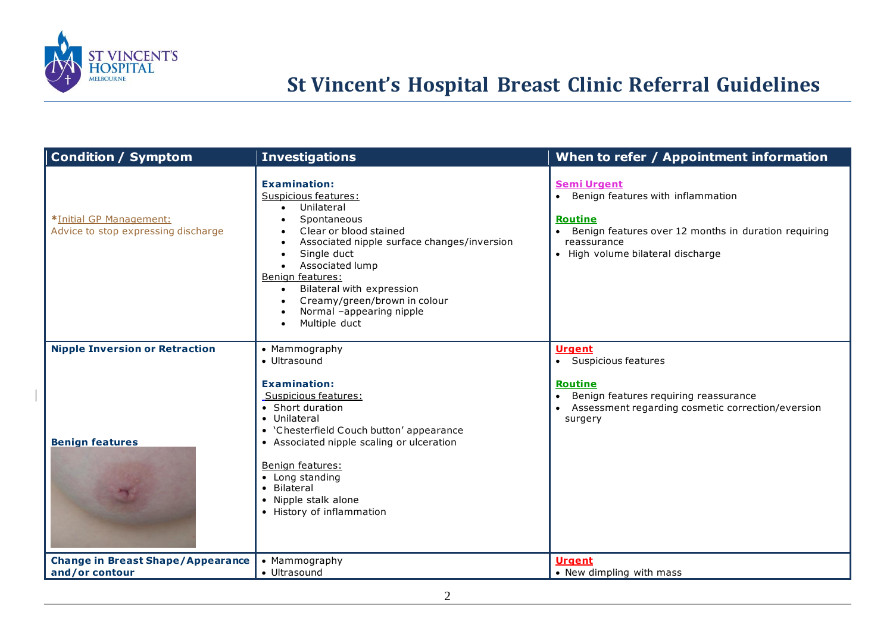

# **St Vincent's Hospital Breast Clinic Referral Guidelines**

| <b>Condition / Symptom</b>                                     | <b>Investigations</b>                                                                                                                                                                                                                                                                                                                       | When to refer / Appointment information                                                                                                                                                                         |
|----------------------------------------------------------------|---------------------------------------------------------------------------------------------------------------------------------------------------------------------------------------------------------------------------------------------------------------------------------------------------------------------------------------------|-----------------------------------------------------------------------------------------------------------------------------------------------------------------------------------------------------------------|
| *Initial GP Management:<br>Advice to stop expressing discharge | <b>Examination:</b><br>Suspicious features:<br>Unilateral<br>$\bullet$<br>Spontaneous<br>Clear or blood stained<br>Associated nipple surface changes/inversion<br>Single duct<br>Associated lump<br>Benign features:<br>Bilateral with expression<br>$\bullet$<br>Creamy/green/brown in colour<br>Normal -appearing nipple<br>Multiple duct | <b>Semi Urgent</b><br>Benign features with inflammation<br>$\bullet$<br><b>Routine</b><br>Benign features over 12 months in duration requiring<br>$\bullet$<br>reassurance<br>· High volume bilateral discharge |
| <b>Nipple Inversion or Retraction</b>                          | • Mammography<br>• Ultrasound                                                                                                                                                                                                                                                                                                               | <b>Urgent</b><br>• Suspicious features                                                                                                                                                                          |
| <b>Benign features</b>                                         | <b>Examination:</b><br>Suspicious features:<br>• Short duration<br>• Unilateral<br>• 'Chesterfield Couch button' appearance<br>• Associated nipple scaling or ulceration<br>Benign features:<br>• Long standing<br>Bilateral<br>• Nipple stalk alone<br>• History of inflammation                                                           | Routine<br>Benign features requiring reassurance<br>Assessment regarding cosmetic correction/eversion<br>surgery                                                                                                |
| <b>Change in Breast Shape/Appearance</b><br>and/or contour     | • Mammography<br>• Ultrasound                                                                                                                                                                                                                                                                                                               | <b>Urgent</b><br>• New dimpling with mass                                                                                                                                                                       |
|                                                                |                                                                                                                                                                                                                                                                                                                                             |                                                                                                                                                                                                                 |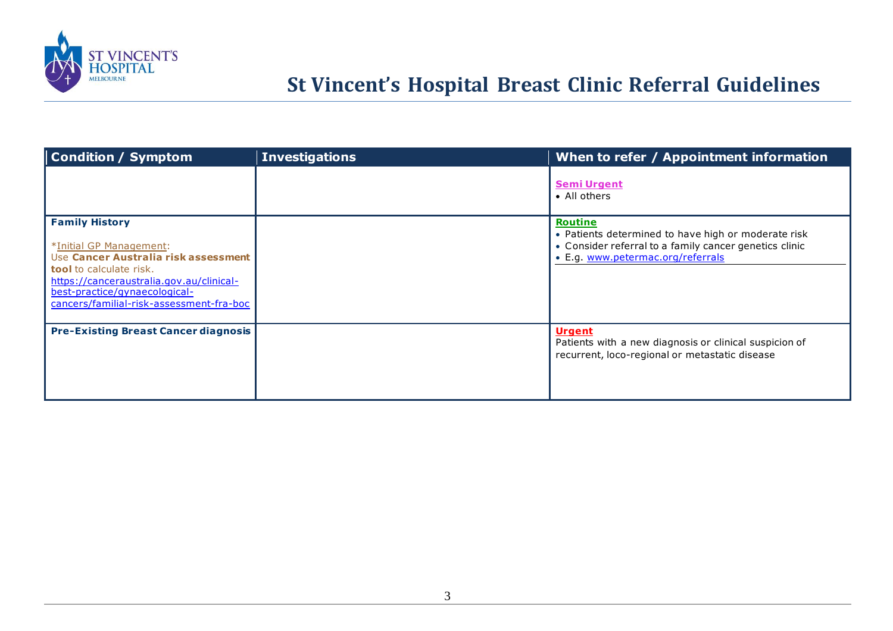

# **St Vincent's Hospital Breast Clinic Referral Guidelines**

| Condition / Symptom                                                                                                                                                                                                                                 | <b>Investigations</b> | When to refer / Appointment information                                                                                                                              |
|-----------------------------------------------------------------------------------------------------------------------------------------------------------------------------------------------------------------------------------------------------|-----------------------|----------------------------------------------------------------------------------------------------------------------------------------------------------------------|
|                                                                                                                                                                                                                                                     |                       | <b>Semi Urgent</b><br>• All others                                                                                                                                   |
| <b>Family History</b><br>*Initial GP Management:<br>Use Cancer Australia risk assessment<br><b>tool</b> to calculate risk.<br>https://canceraustralia.gov.au/clinical-<br>best-practice/gynaecological-<br>cancers/familial-risk-assessment-fra-boc |                       | <b>Routine</b><br>• Patients determined to have high or moderate risk<br>• Consider referral to a family cancer genetics clinic<br>• E.g. www.petermac.org/referrals |
| <b>Pre-Existing Breast Cancer diagnosis</b>                                                                                                                                                                                                         |                       | <b>Urgent</b><br>Patients with a new diagnosis or clinical suspicion of<br>recurrent, loco-regional or metastatic disease                                            |